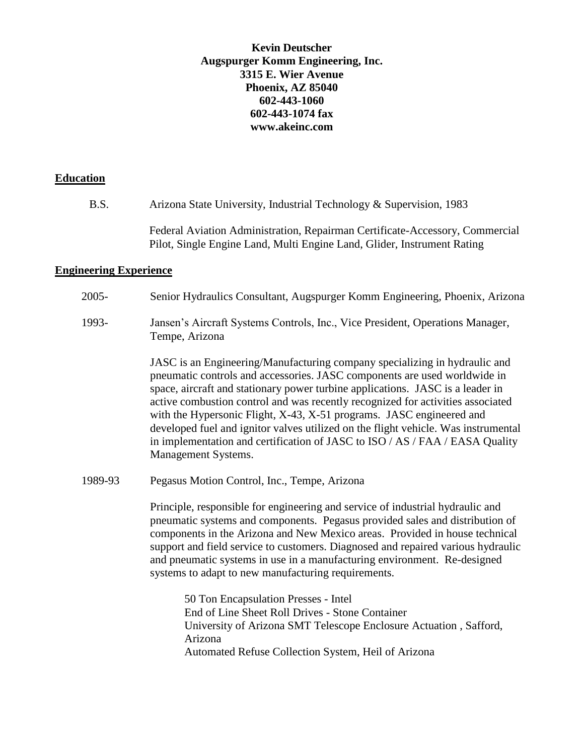## **Kevin Deutscher Augspurger Komm Engineering, Inc. 3315 E. Wier Avenue Phoenix, AZ 85040 602-443-1060 602-443-1074 fax www.akeinc.com**

### **Education**

B.S. Arizona State University, Industrial Technology & Supervision, 1983

Federal Aviation Administration, Repairman Certificate-Accessory, Commercial Pilot, Single Engine Land, Multi Engine Land, Glider, Instrument Rating

# **Engineering Experience**

| $2005 -$ | Senior Hydraulics Consultant, Augspurger Komm Engineering, Phoenix, Arizona                                                                                                                                                                                                                                                                                                                                                                                                                                                                                                                       |
|----------|---------------------------------------------------------------------------------------------------------------------------------------------------------------------------------------------------------------------------------------------------------------------------------------------------------------------------------------------------------------------------------------------------------------------------------------------------------------------------------------------------------------------------------------------------------------------------------------------------|
| 1993-    | Jansen's Aircraft Systems Controls, Inc., Vice President, Operations Manager,<br>Tempe, Arizona                                                                                                                                                                                                                                                                                                                                                                                                                                                                                                   |
|          | JASC is an Engineering/Manufacturing company specializing in hydraulic and<br>pneumatic controls and accessories. JASC components are used worldwide in<br>space, aircraft and stationary power turbine applications. JASC is a leader in<br>active combustion control and was recently recognized for activities associated<br>with the Hypersonic Flight, X-43, X-51 programs. JASC engineered and<br>developed fuel and ignitor valves utilized on the flight vehicle. Was instrumental<br>in implementation and certification of JASC to ISO / AS / FAA / EASA Quality<br>Management Systems. |
| 1989-93  | Pegasus Motion Control, Inc., Tempe, Arizona                                                                                                                                                                                                                                                                                                                                                                                                                                                                                                                                                      |
|          | Principle, responsible for engineering and service of industrial hydraulic and<br>pneumatic systems and components. Pegasus provided sales and distribution of<br>components in the Arizona and New Mexico areas. Provided in house technical<br>support and field service to customers. Diagnosed and repaired various hydraulic<br>and pneumatic systems in use in a manufacturing environment. Re-designed<br>systems to adapt to new manufacturing requirements.                                                                                                                              |
|          | 50 Ton Encapsulation Presses - Intel<br>End of Line Sheet Roll Drives - Stone Container<br>University of Arizona SMT Telescope Enclosure Actuation, Safford,<br>Arizona<br>Automated Refuse Collection System, Heil of Arizona                                                                                                                                                                                                                                                                                                                                                                    |